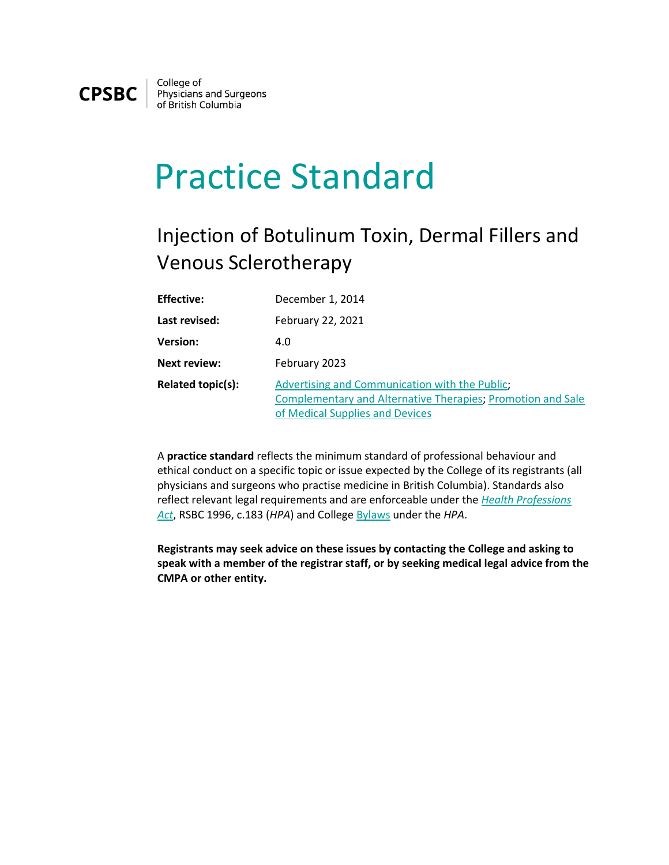

College of<br>Physicians and Surgeons<br>of British Columbia

## Practice Standard

## Injection of Botulinum Toxin, Dermal Fillers and Venous Sclerotherapy

| <b>Effective:</b>   | December 1, 2014                                                                                                                                 |
|---------------------|--------------------------------------------------------------------------------------------------------------------------------------------------|
| Last revised:       | February 22, 2021                                                                                                                                |
| <b>Version:</b>     | 4.0                                                                                                                                              |
| <b>Next review:</b> | February 2023                                                                                                                                    |
| Related topic(s):   | Advertising and Communication with the Public;<br>Complementary and Alternative Therapies; Promotion and Sale<br>of Medical Supplies and Devices |

A **practice standard** reflects the minimum standard of professional behaviour and ethical conduct on a specific topic or issue expected by the College of its registrants (all physicians and surgeons who practise medicine in British Columbia). Standards also reflect relevant legal requirements and are enforceable under the *[Health Professions](http://www.bclaws.ca/EPLibraries/bclaws_new/document/ID/freeside/00_96183_01)  [Act](http://www.bclaws.ca/EPLibraries/bclaws_new/document/ID/freeside/00_96183_01)*, RSBC 1996, c.183 (*HPA*) and College [Bylaws](https://www.cpsbc.ca/files/pdf/HPA-Bylaws.pdf) under the *HPA*.

**Registrants may seek advice on these issues by contacting the College and asking to speak with a member of the registrar staff, or by seeking medical legal advice from the CMPA or other entity.**